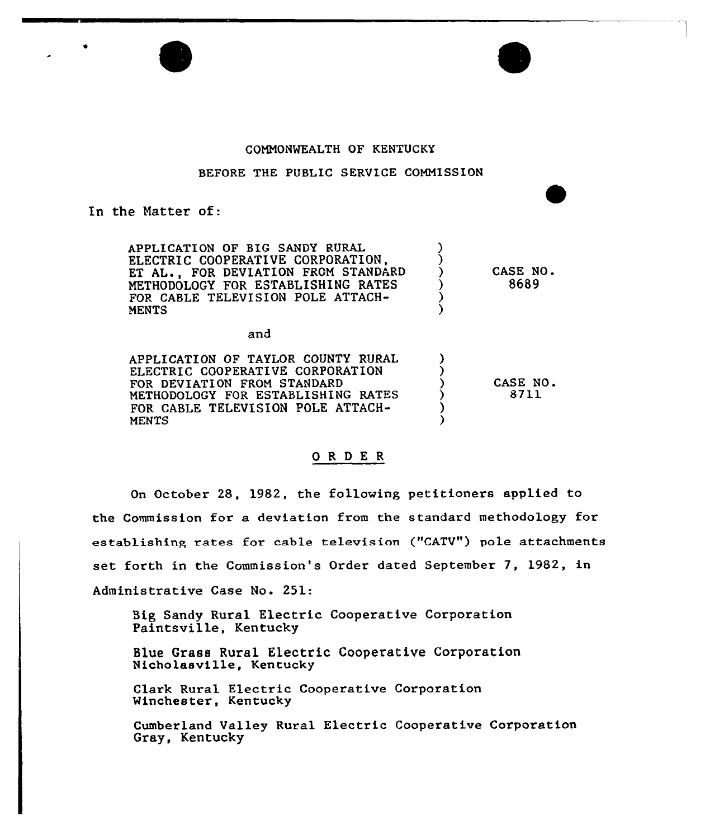

### COMMONWEALTH OF KENTUCKY

## BEFORE THE PUBLIC SERVICE COMMISSION

## In the Natter of:

APPLICATION OF BIG SANDY RURAL ELECTRIC COOPERATIVE CORPORATION, ET AL., FOR DEVIATION FROM STANDARD METHODOLOGY FOR ESTABLISHING RATES FOR CABLE TELEVISION POLE ATTACH-**MENTS** CASE NQ. 8689

and

APPLICATION OF TAYLOR COUNTY RURAL ELECTRIC COOPERATIVE CORPORATION FOR DEVIATION FROM STANDARD METHODOLOGY FQR ESTABLISHING RATES FOR CABLE TELEVISION POLE ATTACH-**MENTS** CASE NO.<br>8711

#### ORDER

On October 28, 1982, the following petitioners applied to the Commission for a deviation from the standard methodology for establishing rates for cable television ("CATV") pole attachments set forth in the Commission's Order dated September 7, 1982, in Administrative Case No. 251:

Big Sandy Rural Electric Cooperative Corporation Paintsville, Kentucky

Blue Grass Rural Electric Cooperative Corporation Nicholasville, Kentucky

Clark Rural Electric Cooperative Corporation Winchester, Kentucky

Cumberland Valley Rural Electric Cooperative Corporation Gray, Kentucky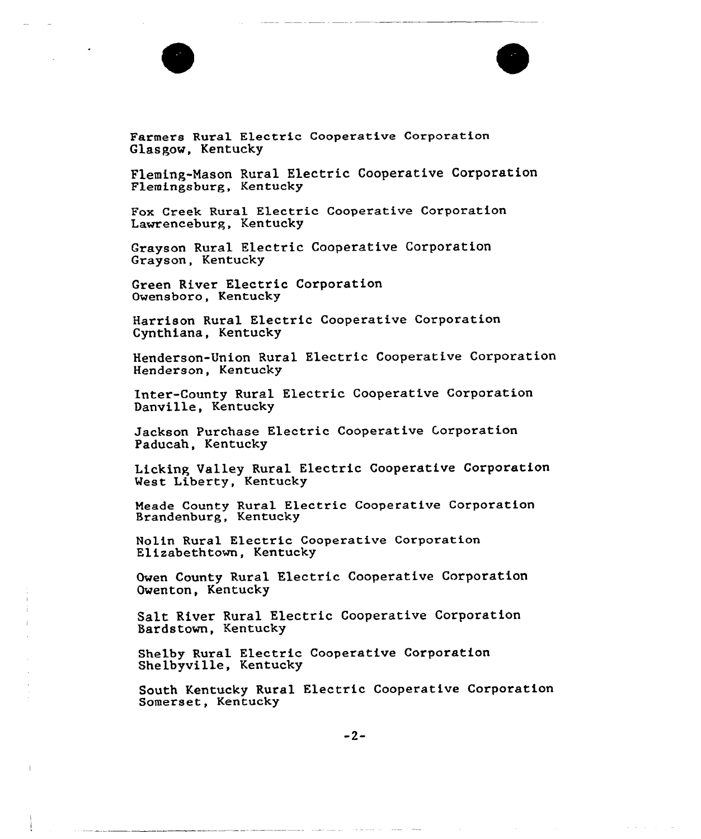

Farmers Rural Electric Cooperative Corporation Glasgow, Kentucky

Fleming-Mason Rural Electric Cooperative Corporation Flemingsburg, Kentucky

Fox Creek Rural Electric Cooperative Corporation Lawrenceburg, Kentucky

Grayson Rural Electric Cooperative Corporation Grayson, Kentucky

Green River Electric Corporation Owensboro, Kentucky

Harrison Rural Electric Cooperative Corporation Cynthiana, Kentucky

Henderson-Union Rural Electric Cooperative Corporation Henderson, Kentucky

Inter-County Rural Electric Cooperative Corporation Danville, Kentucky

Jackson Purchase Electric Cooperative Corporation Paducah, Kentucky

Licking Valley Rural Electric Cooperative Corporation Vest Liberty, Kentucky

Meade County Rural Electric Cooperative Corporation Brandenburg, Kentuck

Nolin Rural Electric Cooperative Corporation Elizabethtown, Kentucky

Owen County Rural Electric Cooperative Corporation Owenton, Kentucky

Salt River Rural Electric Cooperative Corporation 5ardstown, Kentucky

Shelby Rural Electric Cooperative Corporation Shelbyville, Kentucky

South Kentucky Rural Electric Cooperative Corporation Somerset, Kentucky

 $\alpha = 1$  and  $\alpha = 1$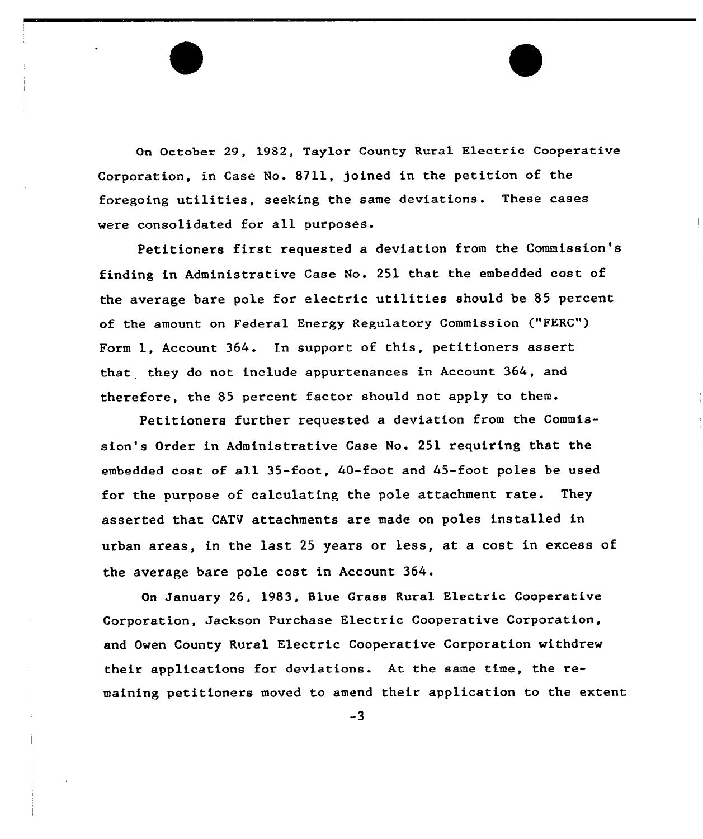On October 29, 1982, Taylor County Rural Electric Cooperative Corporation, in Case No. 8211, joined in the petition of the foregoing utilities, seeking the same deviations. These cases were consolidated for all purposes.

Petitioners first requested a deviation from the Commission's finding in Administrative Case No. 251 that the embedded cost of the average bare pole for electric utilities should be 85 percent of the amount on Federal Energy Regulatory Commission ("FERC") Form 1, Account 364. In support of this, petitioners assert that they do not include appurtenances in Account 364, and therefore, the 85 percent factor should not apply to them.

Petitioners further requested a deviation from the Commission's Order in Administrative Case No. 251 requiring that the embedded cost of all 35-foot, 40-foot and 45-foot poles be used for the purpose of calculating, the pole attachment rate. They asserted that CATV attachments are made on poles installed in urban areas, in the last <sup>25</sup> years or less, at a cost in excess of the average bare pole cost in Account 364.

On January 26, 1983, Blue Grass Rural Electric Cooperative Corporation, Jackson Purchase Electric Cooperative Corporation, and Owen County Rural Electric Cooperative Corporation withdrew their applications for deviations. At the same time, the remaining petitioners moved to amend their application to the extent

 $-3$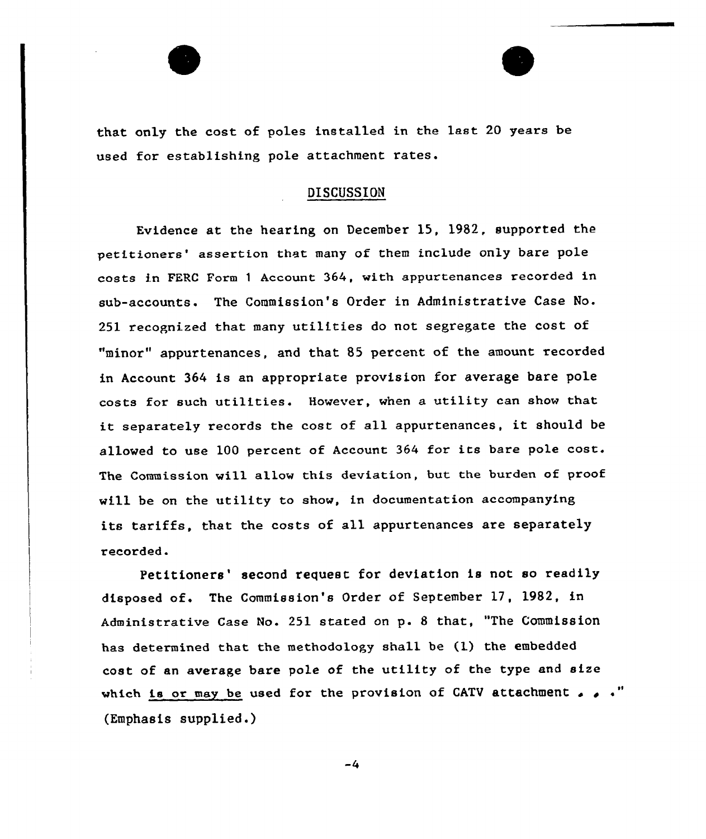that only the cost of poles installed in the last 20 years be used for establishing pole attachment rates.

# DISCUSSION

Evidence at the hearing on December 15, 1982, supported the petitioners' assertion that many of them include only bare pole costs in FERC Form <sup>1</sup> Account 364, with appurtenances recorded in sub-accounts. The Commission's Order in Administrative Case No. 251 recognized that many utilities do not segregate the cost of "minor" appurtenances, and that 85 percent of the amount recorded in Account 364 is an appropriate provision for average bare pole costs for such utilities. However, when a utility can show that it separately records the cost of all appurtenances, it should be alloved to use 100 percent of Account <sup>364</sup> for its bare pole cost. The Commission will allow this deviation, but the burden of proof vill be on the utility to show, in documentation accompanying its tariffs, that the costs of all appurtenances are separately recorded.

Petitioners' second request for deviation is not so readily disposed of. The Commission's Order of September 17, 1982, in Administrative Case No. 251 stated on  $p$ . 8 that, "The Commissio has determined that the methodology shall be (1) the embedded cost of an average bare pole of the utility of the type and size which is or may be used for the provision of CATV attachment  $\ldots$ (Emphasis supplied.)

 $-4$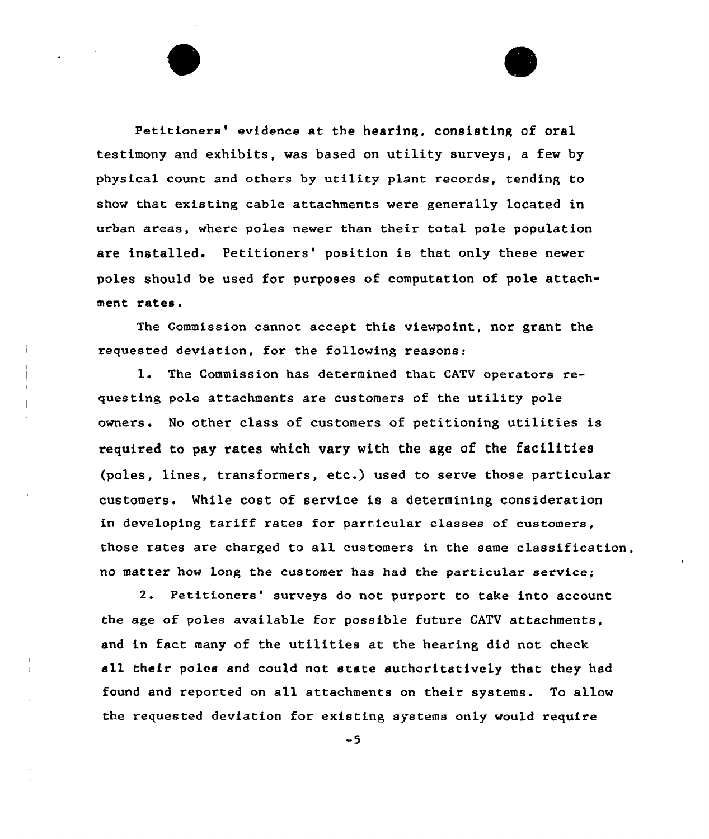Petitioners' evidence at the hearing, consisting of oral testimony and exhibits, was based on utility surveys, a few by physical count and others by utility plant records, tending to show that existing cable attachments were generally located in urban areas, where poles newer than their total pole population are installed. Petitioners' position is that only these newer poles should be used for purposes of computation of pole attachment rates.

The Commission cannot accept this viewpoint, nor grant the requested deviation, for the following reasons:

1. The Commission has determined that CATV operators requesting pole attachments are customers of the utility pole owners. No other class of customers of petitioning utilities is required to pay rates which vary with the age of the facilities (poles, lines, transformers, etc.) used to serve those particular customers. While cost of service is a determining consideration in developing tariff rates for particular classes of customers, those rates are charged to all customers in the same classification, no matter how long the customer has had the particular service;

2. Petitioners' surveys do not purport to take into account the age of poles available for possible future CATV attachments, and in fact many of the utilities at the hearing did not check all their poles and could not state authoritatively that they had found and reported on all attachments on their systems. To allow the requested deviation for existing systems only would require

 $-5$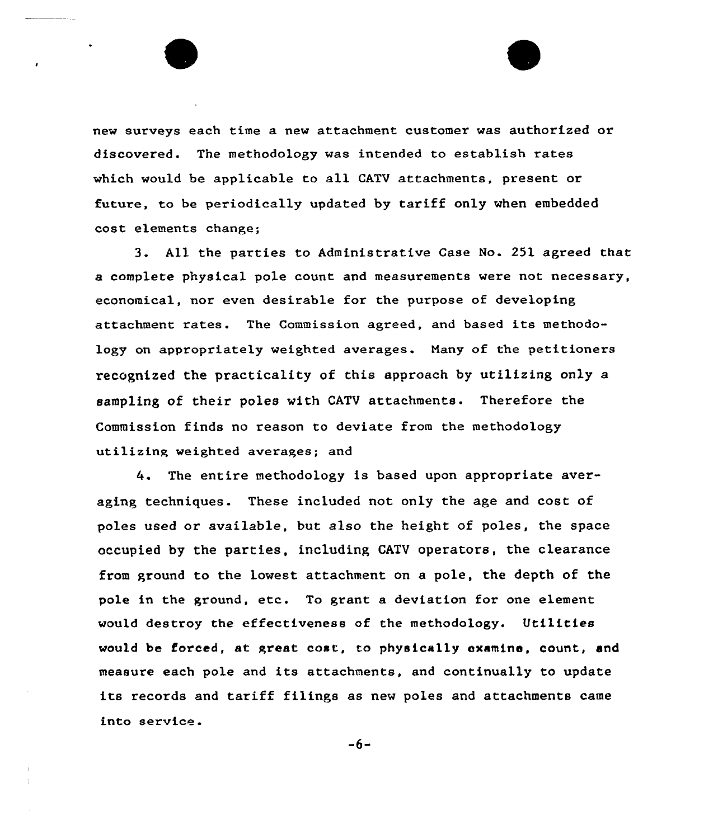new surveys each time a new attachment customer was authorized or discovered. The methodology was intended to establish rates which would be applicable to all CATV attachments, present or future, to be periodically updated by tariff only when embedded cost elements change;

3. All the parties to Administrative Case No. 25l agreed that a complete physical pole count and measurements were not necessary, economical, nor even desirable for the purpose of developing attachment rates. The Commission agreed, and based its methodology on appropriately weighted averages. Many of the petitioners recognized the practicality of this approach by utilizing only a sampling of their poles with CATV attachments. Therefore the Commission finds no reason to deviate from the methodology utilizing weighted averages; and

4. The entire methodology is based upon appropriate averaging techniques. These included not only the age and cost of poles used or available, but also the height of poles, the space occupied by the parties, including CATV operators, the clearance from ground to the lowest attachment on a pole, the depth of the pole in the ground, etc. To grant a deviation for one element would destroy the effectiveness of the methodology. Utilities would be forced, st great cost, to physically oxamino, count, and measure each pole and its attachments, and continually to update its records and tariff filings as new poles and attachments came into service.

 $-6-$